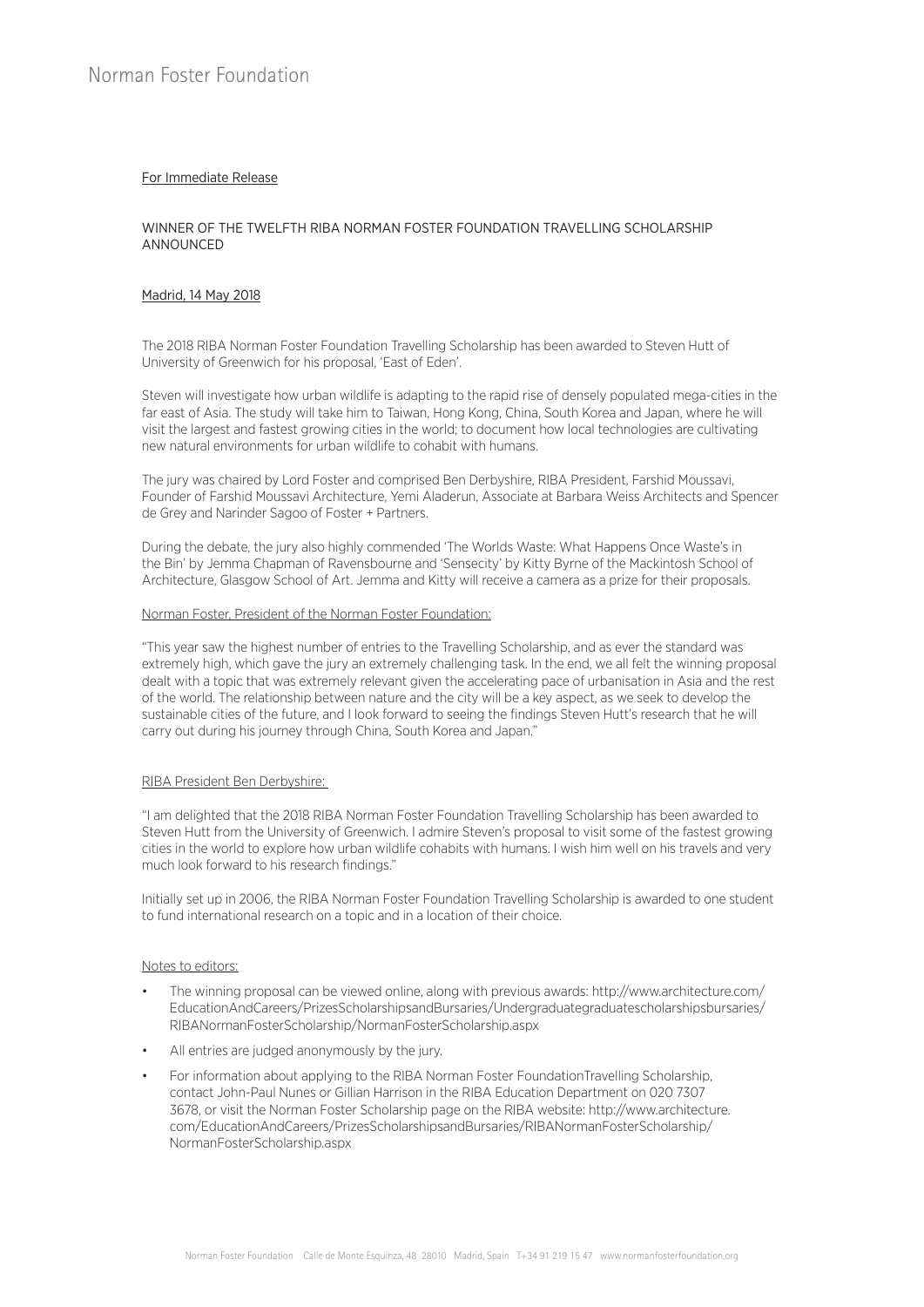# For Immediate Release

## WINNER OF THE TWELFTH RIBA NORMAN FOSTER FOUNDATION TRAVELLING SCHOLARSHIP ANNOUNCED

### Madrid, 14 May 2018

The 2018 RIBA Norman Foster Foundation Travelling Scholarship has been awarded to Steven Hutt of University of Greenwich for his proposal, 'East of Eden'.

Steven will investigate how urban wildlife is adapting to the rapid rise of densely populated mega-cities in the far east of Asia. The study will take him to Taiwan, Hong Kong, China, South Korea and Japan, where he will visit the largest and fastest growing cities in the world; to document how local technologies are cultivating new natural environments for urban wildlife to cohabit with humans.

The jury was chaired by Lord Foster and comprised Ben Derbyshire, RIBA President, Farshid Moussavi, Founder of Farshid Moussavi Architecture, Yemi Aladerun, Associate at Barbara Weiss Architects and Spencer de Grey and Narinder Sagoo of Foster + Partners.

During the debate, the jury also highly commended 'The Worlds Waste: What Happens Once Waste's in the Bin' by Jemma Chapman of Ravensbourne and 'Sensecity' by Kitty Byrne of the Mackintosh School of Architecture, Glasgow School of Art. Jemma and Kitty will receive a camera as a prize for their proposals.

#### Norman Foster, President of the Norman Foster Foundation:

"This year saw the highest number of entries to the Travelling Scholarship, and as ever the standard was extremely high, which gave the jury an extremely challenging task. In the end, we all felt the winning proposal dealt with a topic that was extremely relevant given the accelerating pace of urbanisation in Asia and the rest of the world. The relationship between nature and the city will be a key aspect, as we seek to develop the sustainable cities of the future, and I look forward to seeing the findings Steven Hutt's research that he will carry out during his journey through China, South Korea and Japan."

### RIBA President Ben Derbyshire:

"I am delighted that the 2018 RIBA Norman Foster Foundation Travelling Scholarship has been awarded to Steven Hutt from the University of Greenwich. I admire Steven's proposal to visit some of the fastest growing cities in the world to explore how urban wildlife cohabits with humans. I wish him well on his travels and very much look forward to his research findings."

Initially set up in 2006, the RIBA Norman Foster Foundation Travelling Scholarship is awarded to one student to fund international research on a topic and in a location of their choice.

### Notes to editors:

- The winning proposal can be viewed online, along with previous awards: http://www.architecture.com/ EducationAndCareers/PrizesScholarshipsandBursaries/Undergraduategraduatescholarshipsbursaries/ RIBANormanFosterScholarship/NormanFosterScholarship.aspx
- All entries are judged anonymously by the jury.
- For information about applying to the RIBA Norman Foster FoundationTravelling Scholarship, contact John-Paul Nunes or Gillian Harrison in the RIBA Education Department on 020 7307 3678, or visit the Norman Foster Scholarship page on the RIBA website: http://www.architecture. com/EducationAndCareers/PrizesScholarshipsandBursaries/RIBANormanFosterScholarship/ NormanFosterScholarship.aspx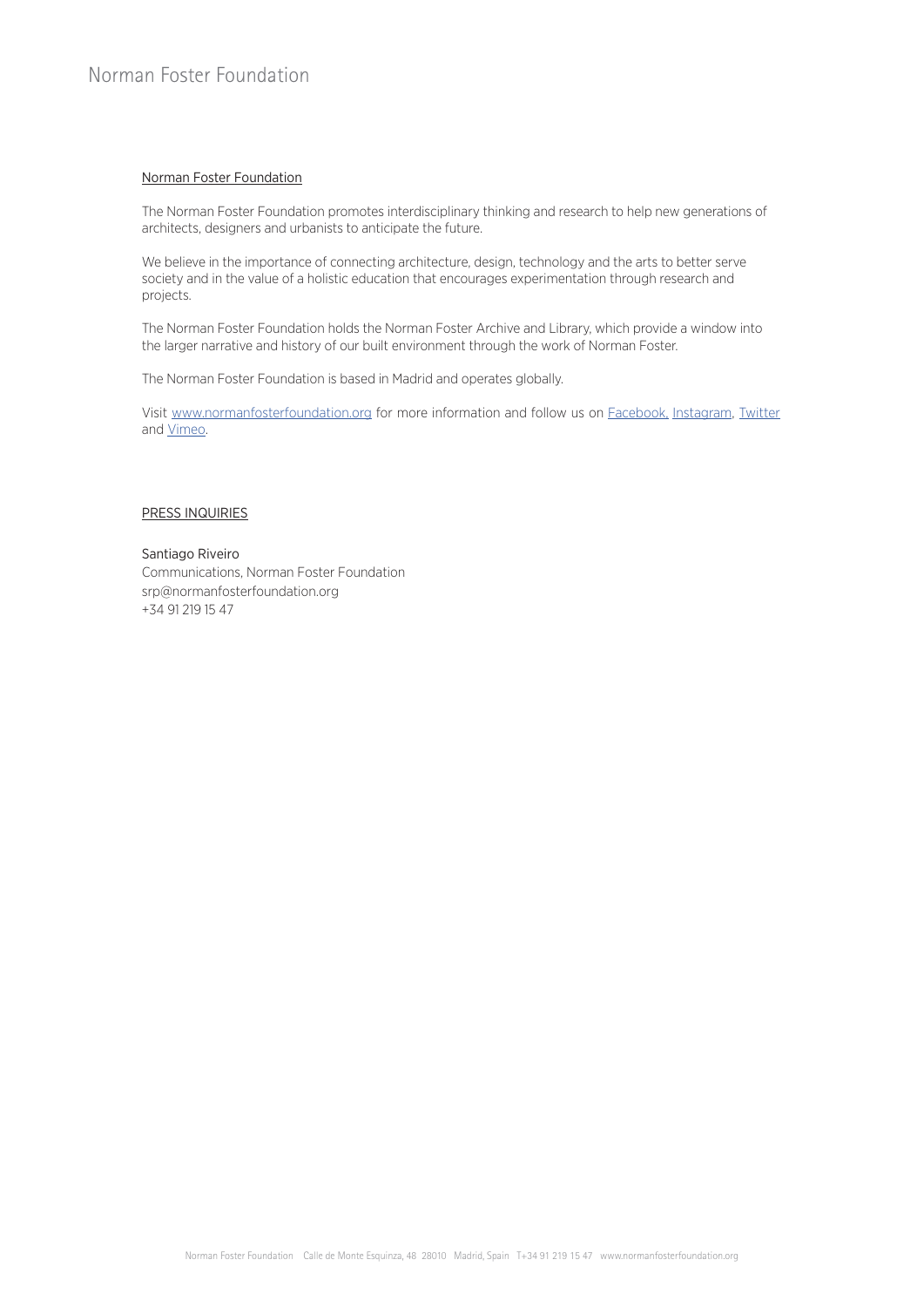## Norman Foster Foundation

The Norman Foster Foundation promotes interdisciplinary thinking and research to help new generations of architects, designers and urbanists to anticipate the future.

We believe in the importance of connecting architecture, design, technology and the arts to better serve society and in the value of a holistic education that encourages experimentation through research and projects.

The Norman Foster Foundation holds the Norman Foster Archive and Library, which provide a window into the larger narrative and history of our built environment through the work of Norman Foster.

The Norman Foster Foundation is based in Madrid and operates globally.

Visit [www.normanfosterfoundation.org](http://www.normanfosterfoundation.org) for more information and follow us on [Facebook,](http://www.facebook.com/normanfosterfdn) [Instagram,](http://www.instagram.com/normanfosterfdn/) [Twitter](http://twitter.com/normanfosterfdn/) and [Vimeo](https://vimeo.com/normanfosterfdn/).

### PRESS INQUIRIES

## Santiago Riveiro

Communications, Norman Foster Foundation srp@normanfosterfoundation.org +34 91 219 15 47